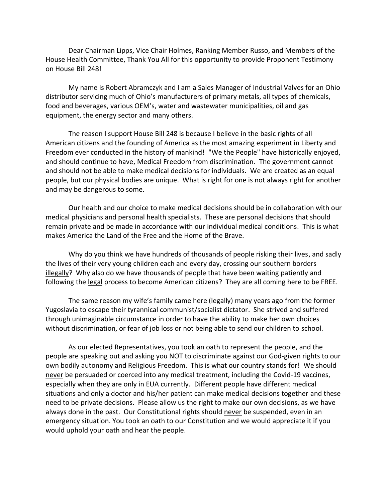Dear Chairman Lipps, Vice Chair Holmes, Ranking Member Russo, and Members of the House Health Committee, Thank You All for this opportunity to provide Proponent Testimony on House Bill 248!

My name is Robert Abramczyk and I am a Sales Manager of Industrial Valves for an Ohio distributor servicing much of Ohio's manufacturers of primary metals, all types of chemicals, food and beverages, various OEM's, water and wastewater municipalities, oil and gas equipment, the energy sector and many others.

The reason I support House Bill 248 is because I believe in the basic rights of all American citizens and the founding of America as the most amazing experiment in Liberty and Freedom ever conducted in the history of mankind! "We the People" have historically enjoyed, and should continue to have, Medical Freedom from discrimination. The government cannot and should not be able to make medical decisions for individuals. We are created as an equal people, but our physical bodies are unique. What is right for one is not always right for another and may be dangerous to some.

Our health and our choice to make medical decisions should be in collaboration with our medical physicians and personal health specialists. These are personal decisions that should remain private and be made in accordance with our individual medical conditions. This is what makes America the Land of the Free and the Home of the Brave.

Why do you think we have hundreds of thousands of people risking their lives, and sadly the lives of their very young children each and every day, crossing our southern borders illegally? Why also do we have thousands of people that have been waiting patiently and following the legal process to become American citizens? They are all coming here to be FREE.

The same reason my wife's family came here (legally) many years ago from the former Yugoslavia to escape their tyrannical communist/socialist dictator. She strived and suffered through unimaginable circumstance in order to have the ability to make her own choices without discrimination, or fear of job loss or not being able to send our children to school.

As our elected Representatives, you took an oath to represent the people, and the people are speaking out and asking you NOT to discriminate against our God-given rights to our own bodily autonomy and Religious Freedom. This is what our country stands for! We should never be persuaded or coerced into any medical treatment, including the Covid-19 vaccines, especially when they are only in EUA currently. Different people have different medical situations and only a doctor and his/her patient can make medical decisions together and these need to be private decisions. Please allow us the right to make our own decisions, as we have always done in the past. Our Constitutional rights should never be suspended, even in an emergency situation. You took an oath to our Constitution and we would appreciate it if you would uphold your oath and hear the people.